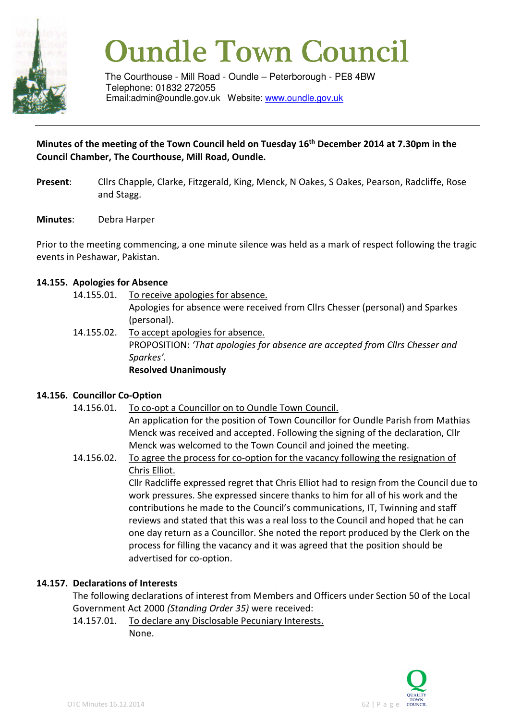

# **Oundle Town Council**

The Courthouse - Mill Road - Oundle – Peterborough - PE8 4BW Telephone: 01832 272055 Email:admin@oundle.gov.uk Website: www.oundle.gov.uk

#### **Minutes of the meeting of the Town Council held on Tuesday 16th December 2014 at 7.30pm in the Council Chamber, The Courthouse, Mill Road, Oundle.**

- **Present**: Cllrs Chapple, Clarke, Fitzgerald, King, Menck, N Oakes, S Oakes, Pearson, Radcliffe, Rose and Stagg.
- **Minutes**: Debra Harper

Prior to the meeting commencing, a one minute silence was held as a mark of respect following the tragic events in Peshawar, Pakistan.

#### **14.155. Apologies for Absence**

- 14.155.01. To receive apologies for absence. Apologies for absence were received from Cllrs Chesser (personal) and Sparkes (personal). 14.155.02. To accept apologies for absence.
- PROPOSITION: *'That apologies for absence are accepted from Cllrs Chesser and Sparkes'.*  **Resolved Unanimously**

#### **14.156. Councillor Co-Option**

14.156.01. To co-opt a Councillor on to Oundle Town Council.

An application for the position of Town Councillor for Oundle Parish from Mathias Menck was received and accepted. Following the signing of the declaration, Cllr Menck was welcomed to the Town Council and joined the meeting.

14.156.02. To agree the process for co-option for the vacancy following the resignation of Chris Elliot.

> Cllr Radcliffe expressed regret that Chris Elliot had to resign from the Council due to work pressures. She expressed sincere thanks to him for all of his work and the contributions he made to the Council's communications, IT, Twinning and staff reviews and stated that this was a real loss to the Council and hoped that he can one day return as a Councillor. She noted the report produced by the Clerk on the process for filling the vacancy and it was agreed that the position should be advertised for co-option.

#### **14.157. Declarations of Interests**

 The following declarations of interest from Members and Officers under Section 50 of the Local Government Act 2000 *(Standing Order 35)* were received:

 14.157.01. To declare any Disclosable Pecuniary Interests. None.

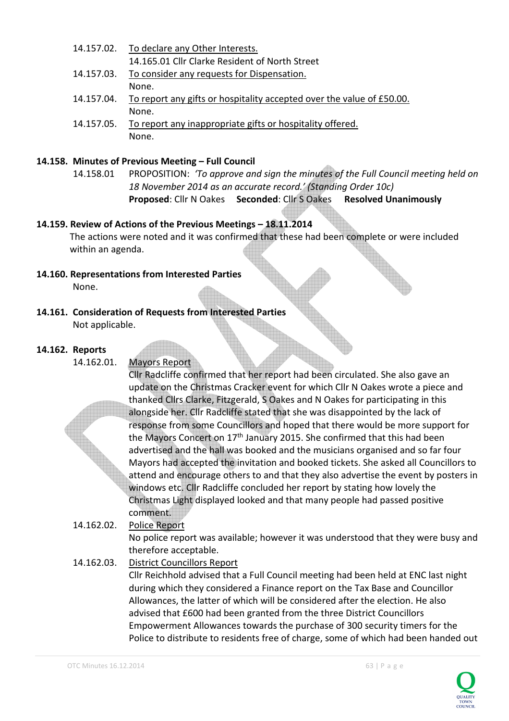14.157.02. To declare any Other Interests. 14.165.01 Cllr Clarke Resident of North Street 14.157.03. To consider any requests for Dispensation. None. 14.157.04. To report any gifts or hospitality accepted over the value of £50.00. None. 14.157.05. To report any inappropriate gifts or hospitality offered. None.

#### **14.158. Minutes of Previous Meeting – Full Council**

14.158.01 PROPOSITION: *'To approve and sign the minutes of the Full Council meeting held on 18 November 2014 as an accurate record.' (Standing Order 10c)*  **Proposed**: Cllr N Oakes **Seconded**: Cllr S Oakes **Resolved Unanimously**

#### **14.159. Review of Actions of the Previous Meetings – 18.11.2014**

The actions were noted and it was confirmed that these had been complete or were included within an agenda.

- **14.160. Representations from Interested Parties** None.
- **14.161. Consideration of Requests from Interested Parties**  Not applicable.

#### **14.162. Reports**

14.162.01. Mayors Report

Cllr Radcliffe confirmed that her report had been circulated. She also gave an update on the Christmas Cracker event for which Cllr N Oakes wrote a piece and thanked Cllrs Clarke, Fitzgerald, S Oakes and N Oakes for participating in this alongside her. Cllr Radcliffe stated that she was disappointed by the lack of response from some Councillors and hoped that there would be more support for the Mayors Concert on 17<sup>th</sup> January 2015. She confirmed that this had been advertised and the hall was booked and the musicians organised and so far four Mayors had accepted the invitation and booked tickets. She asked all Councillors to attend and encourage others to and that they also advertise the event by posters in windows etc. Cllr Radcliffe concluded her report by stating how lovely the Christmas Light displayed looked and that many people had passed positive comment.

- 14.162.02. Police Report No police report was available; however it was understood that they were busy and therefore acceptable.
- 14.162.03. District Councillors Report Cllr Reichhold advised that a Full Council meeting had been held at ENC last night during which they considered a Finance report on the Tax Base and Councillor Allowances, the latter of which will be considered after the election. He also advised that £600 had been granted from the three District Councillors Empowerment Allowances towards the purchase of 300 security timers for the Police to distribute to residents free of charge, some of which had been handed out

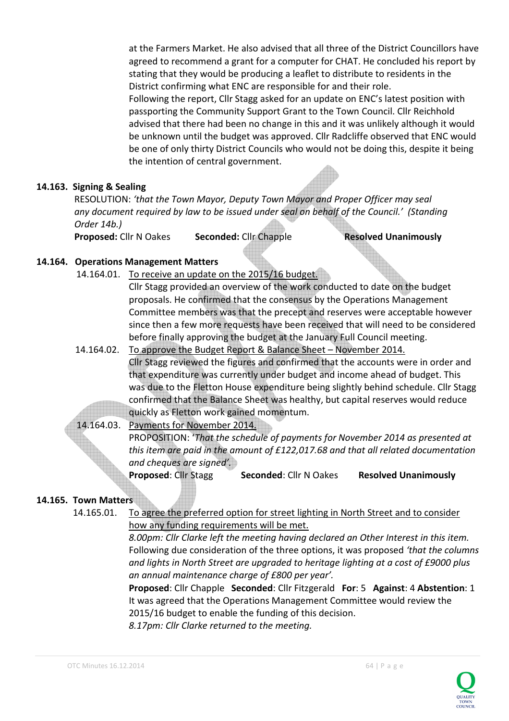at the Farmers Market. He also advised that all three of the District Councillors have agreed to recommend a grant for a computer for CHAT. He concluded his report by stating that they would be producing a leaflet to distribute to residents in the District confirming what ENC are responsible for and their role. Following the report, Cllr Stagg asked for an update on ENC's latest position with passporting the Community Support Grant to the Town Council. Cllr Reichhold advised that there had been no change in this and it was unlikely although it would be unknown until the budget was approved. Cllr Radcliffe observed that ENC would be one of only thirty District Councils who would not be doing this, despite it being the intention of central government.

#### **14.163. Signing & Sealing**

 RESOLUTION: *'that the Town Mayor, Deputy Town Mayor and Proper Officer may seal any document required by law to be issued under seal on behalf of the Council.' (Standing Order 14b.)* 

**Proposed:** Cllr N Oakes Seconded: Cllr Chapple **Resolved Unanimously** 

#### **14.164. Operations Management Matters**

14.164.01. To receive an update on the 2015/16 budget.

 Cllr Stagg provided an overview of the work conducted to date on the budget proposals. He confirmed that the consensus by the Operations Management Committee members was that the precept and reserves were acceptable however since then a few more requests have been received that will need to be considered before finally approving the budget at the January Full Council meeting.

- 14.164.02. To approve the Budget Report & Balance Sheet November 2014. Cllr Stagg reviewed the figures and confirmed that the accounts were in order and that expenditure was currently under budget and income ahead of budget. This was due to the Fletton House expenditure being slightly behind schedule. Cllr Stagg confirmed that the Balance Sheet was healthy, but capital reserves would reduce quickly as Fletton work gained momentum.
- 14.164.03. Payments for November 2014. PROPOSITION: '*That the schedule of payments for November 2014 as presented at this item are paid in the amount of £122,017.68 and that all related documentation and cheques are signed'.* **Proposed**: Cllr Stagg **Seconded**: Cllr N Oakes **Resolved Unanimously**

#### **14.165. Town Matters**

 14.165.01. To agree the preferred option for street lighting in North Street and to consider how any funding requirements will be met.

> *8.00pm: Cllr Clarke left the meeting having declared an Other Interest in this item.*  Following due consideration of the three options, it was proposed *'that the columns and lights in North Street are upgraded to heritage lighting at a cost of £9000 plus an annual maintenance charge of £800 per year'.*

 **Proposed**: Cllr Chapple **Seconded**: Cllr Fitzgerald **For**: 5 **Against**: 4 **Abstention**: 1 It was agreed that the Operations Management Committee would review the 2015/16 budget to enable the funding of this decision.

*8.17pm: Cllr Clarke returned to the meeting.* 

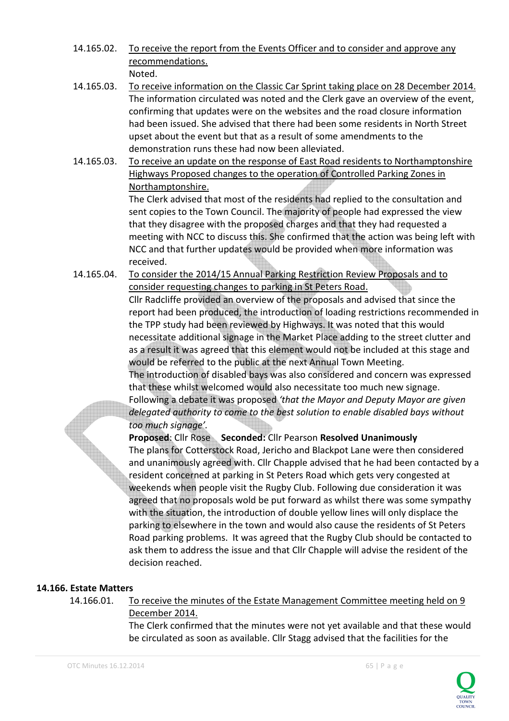14.165.02. To receive the report from the Events Officer and to consider and approve any recommendations.

Noted.

- 14.165.03. To receive information on the Classic Car Sprint taking place on 28 December 2014. The information circulated was noted and the Clerk gave an overview of the event, confirming that updates were on the websites and the road closure information had been issued. She advised that there had been some residents in North Street upset about the event but that as a result of some amendments to the demonstration runs these had now been alleviated.
- 14.165.03. To receive an update on the response of East Road residents to Northamptonshire Highways Proposed changes to the operation of Controlled Parking Zones in Northamptonshire.

The Clerk advised that most of the residents had replied to the consultation and sent copies to the Town Council. The majority of people had expressed the view that they disagree with the proposed charges and that they had requested a meeting with NCC to discuss this. She confirmed that the action was being left with NCC and that further updates would be provided when more information was received.

14.165.04. To consider the 2014/15 Annual Parking Restriction Review Proposals and to consider requesting changes to parking in St Peters Road.

 Cllr Radcliffe provided an overview of the proposals and advised that since the report had been produced, the introduction of loading restrictions recommended in the TPP study had been reviewed by Highways. It was noted that this would necessitate additional signage in the Market Place adding to the street clutter and as a result it was agreed that this element would not be included at this stage and would be referred to the public at the next Annual Town Meeting.

 The introduction of disabled bays was also considered and concern was expressed that these whilst welcomed would also necessitate too much new signage.

Following a debate it was proposed *'that the Mayor and Deputy Mayor are given delegated authority to come to the best solution to enable disabled bays without too much signage'.* 

 **Proposed**: Cllr Rose **Seconded:** Cllr Pearson **Resolved Unanimously** The plans for Cotterstock Road, Jericho and Blackpot Lane were then considered and unanimously agreed with. Cllr Chapple advised that he had been contacted by a resident concerned at parking in St Peters Road which gets very congested at weekends when people visit the Rugby Club. Following due consideration it was agreed that no proposals wold be put forward as whilst there was some sympathy with the situation, the introduction of double yellow lines will only displace the parking to elsewhere in the town and would also cause the residents of St Peters Road parking problems. It was agreed that the Rugby Club should be contacted to ask them to address the issue and that Cllr Chapple will advise the resident of the decision reached.

# **14.166. Estate Matters**

 14.166.01. To receive the minutes of the Estate Management Committee meeting held on 9 December 2014.

> The Clerk confirmed that the minutes were not yet available and that these would be circulated as soon as available. Cllr Stagg advised that the facilities for the

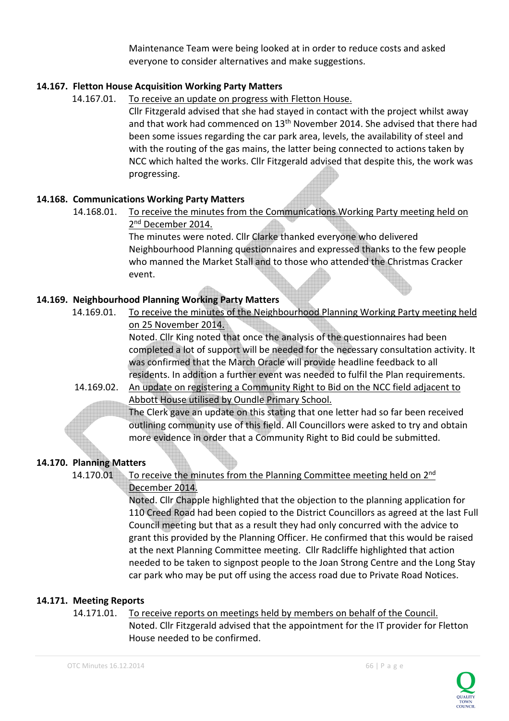Maintenance Team were being looked at in order to reduce costs and asked everyone to consider alternatives and make suggestions.

## **14.167. Fletton House Acquisition Working Party Matters**

#### 14.167.01. To receive an update on progress with Fletton House.

 Cllr Fitzgerald advised that she had stayed in contact with the project whilst away and that work had commenced on 13<sup>th</sup> November 2014. She advised that there had been some issues regarding the car park area, levels, the availability of steel and with the routing of the gas mains, the latter being connected to actions taken by NCC which halted the works. Cllr Fitzgerald advised that despite this, the work was progressing.

## **14.168. Communications Working Party Matters**

 The minutes were noted. Cllr Clarke thanked everyone who delivered Neighbourhood Planning questionnaires and expressed thanks to the few people who manned the Market Stall and to those who attended the Christmas Cracker event.

## **14.169. Neighbourhood Planning Working Party Matters**

 14.169.01. To receive the minutes of the Neighbourhood Planning Working Party meeting held on 25 November 2014.

> Noted. Cllr King noted that once the analysis of the questionnaires had been completed a lot of support will be needed for the necessary consultation activity. It was confirmed that the March Oracle will provide headline feedback to all residents. In addition a further event was needed to fulfil the Plan requirements.

14.169.02. An update on registering a Community Right to Bid on the NCC field adjacent to Abbott House utilised by Oundle Primary School.

 The Clerk gave an update on this stating that one letter had so far been received outlining community use of this field. All Councillors were asked to try and obtain more evidence in order that a Community Right to Bid could be submitted.

# **14.170. Planning Matters**

14.170.01 To receive the minutes from the Planning Committee meeting held on 2<sup>nd</sup> December 2014.

 Noted. Cllr Chapple highlighted that the objection to the planning application for 110 Creed Road had been copied to the District Councillors as agreed at the last Full Council meeting but that as a result they had only concurred with the advice to grant this provided by the Planning Officer. He confirmed that this would be raised at the next Planning Committee meeting. Cllr Radcliffe highlighted that action needed to be taken to signpost people to the Joan Strong Centre and the Long Stay car park who may be put off using the access road due to Private Road Notices.

# **14.171. Meeting Reports**

# 14.171.01. To receive reports on meetings held by members on behalf of the Council.

 Noted. Cllr Fitzgerald advised that the appointment for the IT provider for Fletton House needed to be confirmed.



<sup>14.168.01.</sup> To receive the minutes from the Communications Working Party meeting held on 2<sup>nd</sup> December 2014.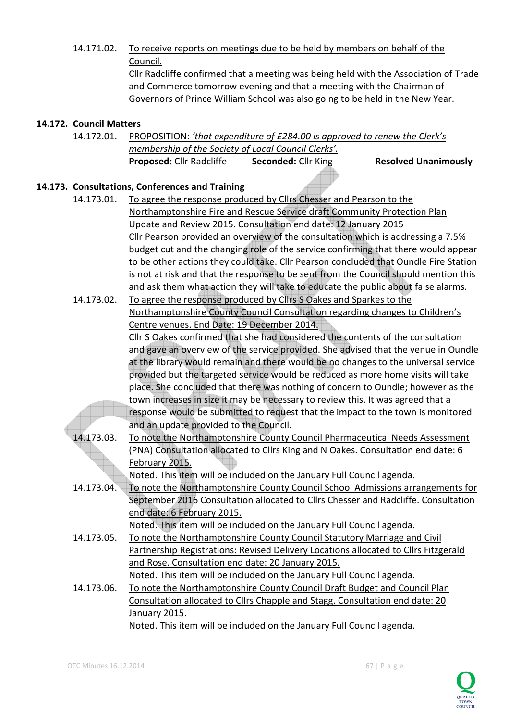14.171.02. To receive reports on meetings due to be held by members on behalf of the Council.

 Cllr Radcliffe confirmed that a meeting was being held with the Association of Trade and Commerce tomorrow evening and that a meeting with the Chairman of Governors of Prince William School was also going to be held in the New Year.

# **14.172. Council Matters**

14.172.01. PROPOSITION: *'that expenditure of £284.00 is approved to renew the Clerk's membership of the Society of Local Council Clerks'.* **Proposed: Cllr Radcliffe Seconded: Cllr King Resolved Unanimously Resolved Unanimously** 

# **14.173. Consultations, Conferences and Training**

- 14.173.01. To agree the response produced by Cllrs Chesser and Pearson to the Northamptonshire Fire and Rescue Service draft Community Protection Plan Update and Review 2015. Consultation end date: 12 January 2015 Cllr Pearson provided an overview of the consultation which is addressing a 7.5% budget cut and the changing role of the service confirming that there would appear to be other actions they could take. Cllr Pearson concluded that Oundle Fire Station is not at risk and that the response to be sent from the Council should mention this and ask them what action they will take to educate the public about false alarms. 14.173.02. To agree the response produced by Cllrs S Oakes and Sparkes to the Northamptonshire County Council Consultation regarding changes to Children's Centre venues. End Date: 19 December 2014. Cllr S Oakes confirmed that she had considered the contents of the consultation and gave an overview of the service provided. She advised that the venue in Oundle at the library would remain and there would be no changes to the universal service provided but the targeted service would be reduced as more home visits will take place. She concluded that there was nothing of concern to Oundle; however as the town increases in size it may be necessary to review this. It was agreed that a response would be submitted to request that the impact to the town is monitored and an update provided to the Council. 14.173.03. To note the Northamptonshire County Council Pharmaceutical Needs Assessment
	- (PNA) Consultation allocated to Cllrs King and N Oakes. Consultation end date: 6 February 2015.

Noted. This item will be included on the January Full Council agenda.

 14.173.04. To note the Northamptonshire County Council School Admissions arrangements for September 2016 Consultation allocated to Cllrs Chesser and Radcliffe. Consultation end date: 6 February 2015.

Noted. This item will be included on the January Full Council agenda.

- 14.173.05. To note the Northamptonshire County Council Statutory Marriage and Civil Partnership Registrations: Revised Delivery Locations allocated to Cllrs Fitzgerald and Rose. Consultation end date: 20 January 2015. Noted. This item will be included on the January Full Council agenda.
- 14.173.06. To note the Northamptonshire County Council Draft Budget and Council Plan Consultation allocated to Cllrs Chapple and Stagg. Consultation end date: 20 January 2015.

Noted. This item will be included on the January Full Council agenda.